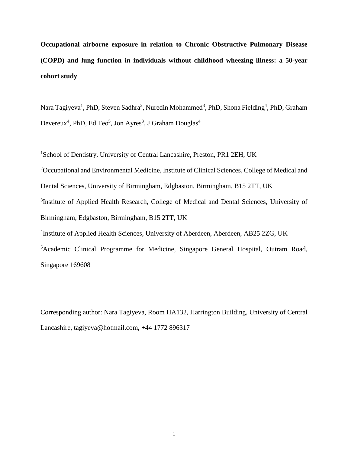**Occupational airborne exposure in relation to Chronic Obstructive Pulmonary Disease (COPD) and lung function in individuals without childhood wheezing illness: a 50-year cohort study**

Nara Tagiyeva<sup>1</sup>, PhD, Steven Sadhra<sup>2</sup>, Nuredin Mohammed<sup>3</sup>, PhD, Shona Fielding<sup>4</sup>, PhD, Graham Devereux<sup>4</sup>, PhD, Ed Teo<sup>5</sup>, Jon Ayres<sup>3</sup>, J Graham Douglas<sup>4</sup>

<sup>1</sup>School of Dentistry, University of Central Lancashire, Preston, PR1 2EH, UK

<sup>2</sup>Occupational and Environmental Medicine, Institute of Clinical Sciences, College of Medical and

[Dental Sciences, University of Birmingham, Edgbaston, Birmingham, B15 2TT,](http://www.birmingham.ac.uk/university/colleges/mds/) UK

<sup>3</sup>Institute of Applied Health Research, College of Medical and Dental Sciences, University of Birmingham, Edgbaston, Birmingham, B15 2TT, UK

<sup>4</sup>Institute of Applied Health Sciences, University of Aberdeen, Aberdeen, AB25 2ZG, UK

<sup>5</sup> Academic Clinical Programme for Medicine, Singapore General Hospital, Outram Road, Singapore 169608

Corresponding author: Nara Tagiyeva, Room HA132, Harrington Building, University of Central Lancashire, tagiyeva@hotmail.com, +44 1772 896317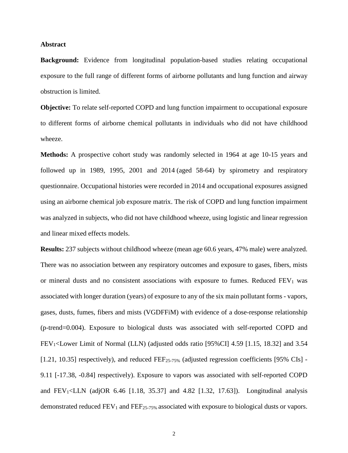#### **Abstract**

**Background:** Evidence from longitudinal population-based studies relating occupational exposure to the full range of different forms of airborne pollutants and lung function and airway obstruction is limited.

**Objective:** To relate self-reported COPD and lung function impairment to occupational exposure to different forms of airborne chemical pollutants in individuals who did not have childhood wheeze.

**Methods:** A prospective cohort study was randomly selected in 1964 at age 10-15 years and followed up in 1989, 1995, 2001 and 2014 (aged 58-64) by spirometry and respiratory questionnaire. Occupational histories were recorded in 2014 and occupational exposures assigned using an airborne chemical job exposure matrix. The risk of COPD and lung function impairment was analyzed in subjects, who did not have childhood wheeze, using logistic and linear regression and linear mixed effects models.

**Results:** 237 subjects without childhood wheeze (mean age 60.6 years, 47% male) were analyzed. There was no association between any respiratory outcomes and exposure to gases, fibers, mists or mineral dusts and no consistent associations with exposure to fumes. Reduced  $FEV<sub>1</sub>$  was associated with longer duration (years) of exposure to any of the six main pollutant forms - vapors, gases, dusts, fumes, fibers and mists (VGDFFiM) with evidence of a dose-response relationship (p-trend=0.004). Exposure to biological dusts was associated with self-reported COPD and FEV1<Lower Limit of Normal (LLN) (adjusted odds ratio [95%CI] 4.59 [1.15, 18.32] and 3.54 [1.21, 10.35] respectively), and reduced FEF<sub>25-75%</sub> (adjusted regression coefficients [95% CIs] -9.11 [-17.38, -0.84] respectively). Exposure to vapors was associated with self-reported COPD and  $FEV_1 < LLN$  (adjOR 6.46 [1.18, 35.37] and 4.82 [1.32, 17.63]). Longitudinal analysis demonstrated reduced  $FEV_1$  and  $FEF_{25-75\%}$  associated with exposure to biological dusts or vapors.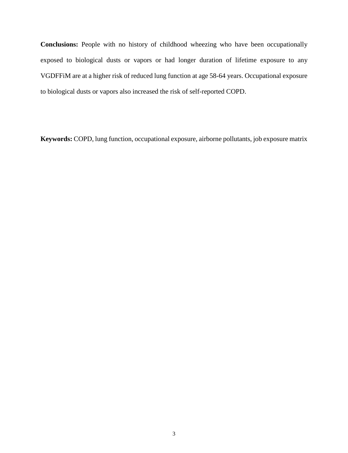**Conclusions:** People with no history of childhood wheezing who have been occupationally exposed to biological dusts or vapors or had longer duration of lifetime exposure to any VGDFFiM are at a higher risk of reduced lung function at age 58-64 years. Occupational exposure to biological dusts or vapors also increased the risk of self-reported COPD.

**Keywords:** COPD, lung function, occupational exposure, airborne pollutants, job exposure matrix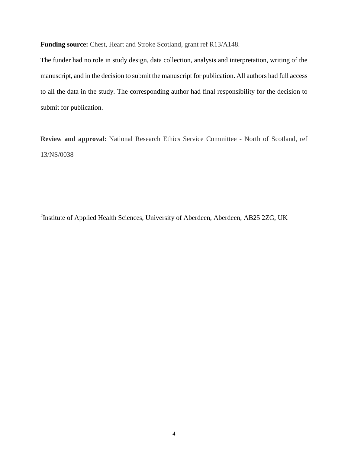**Funding source:** Chest, Heart and Stroke Scotland, grant ref R13/A148.

The funder had no role in study design, data collection, analysis and interpretation, writing of the manuscript, and in the decision to submit the manuscript for publication. All authors had full access to all the data in the study. The corresponding author had final responsibility for the decision to submit for publication.

**Review and approval**: National Research Ethics Service Committee - North of Scotland, ref 13/NS/0038

<sup>2</sup>Institute of Applied Health Sciences, University of Aberdeen, Aberdeen, AB25 2ZG, UK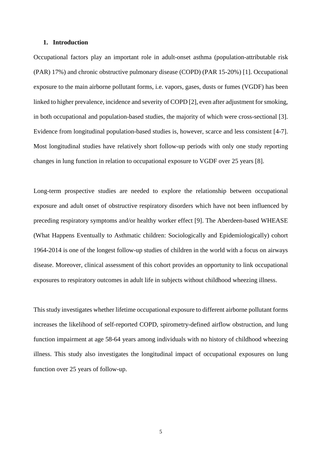### **1. Introduction**

Occupational factors play an important role in adult-onset asthma (population-attributable risk (PAR) 17%) and chronic obstructive pulmonary disease (COPD) (PAR 15-20%) [1]. Occupational exposure to the main airborne pollutant forms, i.e. vapors, gases, dusts or fumes (VGDF) has been linked to higher prevalence, incidence and severity of COPD [2], even after adjustment for smoking, in both occupational and population-based studies, the majority of which were cross-sectional [3]. Evidence from longitudinal population-based studies is, however, scarce and less consistent [4-7]. Most longitudinal studies have relatively short follow-up periods with only one study reporting changes in lung function in relation to occupational exposure to VGDF over 25 years [8].

Long-term prospective studies are needed to explore the relationship between occupational exposure and adult onset of obstructive respiratory disorders which have not been influenced by preceding respiratory symptoms and/or healthy worker effect [9]. The Aberdeen-based WHEASE (What Happens Eventually to Asthmatic children: Sociologically and Epidemiologically) cohort 1964-2014 is one of the longest follow-up studies of children in the world with a focus on airways disease. Moreover, clinical assessment of this cohort provides an opportunity to link occupational exposures to respiratory outcomes in adult life in subjects without childhood wheezing illness.

This study investigates whether lifetime occupational exposure to different airborne pollutant forms increases the likelihood of self-reported COPD, spirometry-defined airflow obstruction, and lung function impairment at age 58-64 years among individuals with no history of childhood wheezing illness. This study also investigates the longitudinal impact of occupational exposures on lung function over 25 years of follow-up.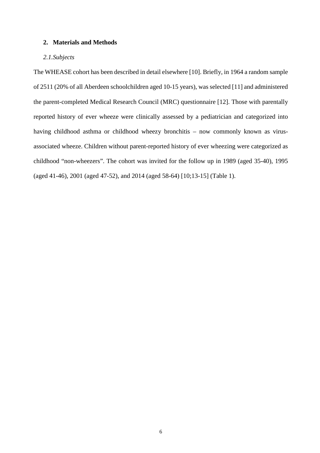## **2. Materials and Methods**

## *2.1.Subjects*

The WHEASE cohort has been described in detail elsewhere [10]. Briefly, in 1964 a random sample of 2511 (20% of all Aberdeen schoolchildren aged 10-15 years), was selected [11] and administered the parent-completed Medical Research Council (MRC) questionnaire [12]. Those with parentally reported history of ever wheeze were clinically assessed by a pediatrician and categorized into having childhood asthma or childhood wheezy bronchitis – now commonly known as virusassociated wheeze. Children without parent-reported history of ever wheezing were categorized as childhood "non-wheezers". The cohort was invited for the follow up in 1989 (aged 35-40), 1995 (aged 41-46), 2001 (aged 47-52), and 2014 (aged 58-64) [10;13-15] (Table 1).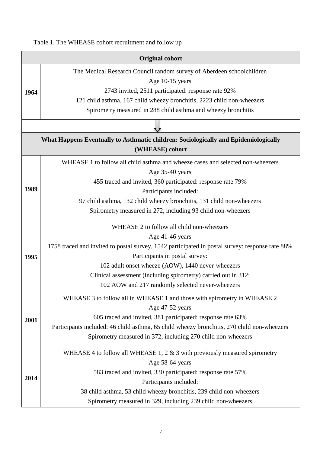Table 1. The WHEASE cohort recruitment and follow up

|      | <b>Original cohort</b>                                                                          |
|------|-------------------------------------------------------------------------------------------------|
|      | The Medical Research Council random survey of Aberdeen schoolchildren                           |
| 1964 | Age 10-15 years                                                                                 |
|      | 2743 invited, 2511 participated: response rate 92%                                              |
|      | 121 child asthma, 167 child wheezy bronchitis, 2223 child non-wheezers                          |
|      | Spirometry measured in 288 child asthma and wheezy bronchitis                                   |
|      |                                                                                                 |
|      | What Happens Eventually to Asthmatic children: Sociologically and Epidemiologically             |
|      | (WHEASE) cohort                                                                                 |
|      | WHEASE 1 to follow all child asthma and wheeze cases and selected non-wheezers                  |
|      | Age 35-40 years                                                                                 |
|      | 455 traced and invited, 360 participated: response rate 79%                                     |
| 1989 | Participants included:                                                                          |
|      | 97 child asthma, 132 child wheezy bronchitis, 131 child non-wheezers                            |
|      | Spirometry measured in 272, including 93 child non-wheezers                                     |
|      | WHEASE 2 to follow all child non-wheezers                                                       |
|      | Age 41-46 years                                                                                 |
|      | 1758 traced and invited to postal survey, 1542 participated in postal survey: response rate 88% |
| 1995 | Participants in postal survey:                                                                  |
|      | 102 adult onset wheeze (AOW), 1440 never-wheezers                                               |
|      | Clinical assessment (including spirometry) carried out in 312:                                  |
|      | 102 AOW and 217 randomly selected never-wheezers                                                |
|      | WHEASE 3 to follow all in WHEASE 1 and those with spirometry in WHEASE 2                        |
|      | Age 47-52 years                                                                                 |
| 2001 | 605 traced and invited, 381 participated: response rate 63%                                     |
|      | Participants included: 46 child asthma, 65 child wheezy bronchitis, 270 child non-wheezers      |
|      | Spirometry measured in 372, including 270 child non-wheezers                                    |
|      | WHEASE 4 to follow all WHEASE 1, 2 $\&$ 3 with previously measured spirometry                   |
|      | Age 58-64 years                                                                                 |
|      | 583 traced and invited, 330 participated: response rate 57%                                     |
| 2014 | Participants included:                                                                          |
|      | 38 child asthma, 53 child wheezy bronchitis, 239 child non-wheezers                             |
|      | Spirometry measured in 329, including 239 child non-wheezers                                    |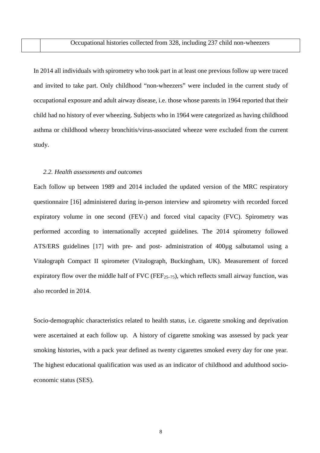In 2014 all individuals with spirometry who took part in at least one previous follow up were traced and invited to take part. Only childhood "non-wheezers" were included in the current study of occupational exposure and adult airway disease, i.e. those whose parents in 1964 reported that their child had no history of ever wheezing. Subjects who in 1964 were categorized as having childhood asthma or childhood wheezy bronchitis/virus-associated wheeze were excluded from the current study.

### *2.2. Health assessments and outcomes*

Each follow up between 1989 and 2014 included the updated version of the MRC respiratory questionnaire [16] administered during in-person interview and spirometry with recorded forced expiratory volume in one second  $(FEV_1)$  and forced vital capacity  $(FVC)$ . Spirometry was performed according to internationally accepted guidelines. The 2014 spirometry followed ATS/ERS guidelines [17] with pre- and post- administration of 400µg salbutamol using a Vitalograph Compact II spirometer (Vitalograph, Buckingham, UK). Measurement of forced expiratory flow over the middle half of  $FVC$  ( $FEF_{25-75}$ ), which reflects small airway function, was also recorded in 2014.

Socio-demographic characteristics related to health status, i.e. cigarette smoking and deprivation were ascertained at each follow up. A history of cigarette smoking was assessed by pack year smoking histories, with a pack year defined as twenty cigarettes smoked every day for one year. The highest educational qualification was used as an indicator of childhood and adulthood socioeconomic status (SES).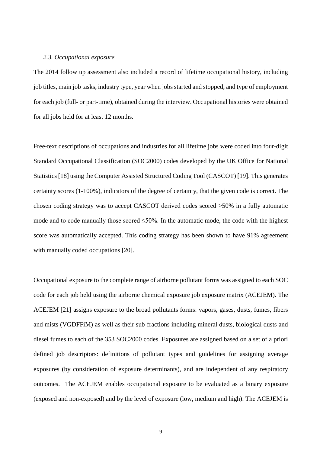## *2.3. Occupational exposure*

The 2014 follow up assessment also included a record of lifetime occupational history, including job titles, main job tasks, industry type, year when jobs started and stopped, and type of employment for each job (full- or part-time), obtained during the interview. Occupational histories were obtained for all jobs held for at least 12 months.

Free-text descriptions of occupations and industries for all lifetime jobs were coded into four-digit Standard Occupational Classification (SOC2000) codes developed by the UK Office for National Statistics[18] using the Computer Assisted Structured Coding Tool (CASCOT) [19]. This generates certainty scores (1-100%), indicators of the degree of certainty, that the given code is correct. The chosen coding strategy was to accept CASCOT derived codes scored >50% in a fully automatic mode and to code manually those scored  $\leq 50\%$ . In the automatic mode, the code with the highest score was automatically accepted. This coding strategy has been shown to have 91% agreement with manually coded occupations [20].

Occupational exposure to the complete range of airborne pollutant forms was assigned to each SOC code for each job held using the airborne chemical exposure job exposure matrix (ACEJEM). The ACEJEM [21] assigns exposure to the broad pollutants forms: vapors, gases, dusts, fumes, fibers and mists (VGDFFiM) as well as their sub-fractions including mineral dusts, biological dusts and diesel fumes to each of the 353 SOC2000 codes. Exposures are assigned based on a set of a priori defined job descriptors: definitions of pollutant types and guidelines for assigning average exposures (by consideration of exposure determinants), and are independent of any respiratory outcomes. The ACEJEM enables occupational exposure to be evaluated as a binary exposure (exposed and non-exposed) and by the level of exposure (low, medium and high). The ACEJEM is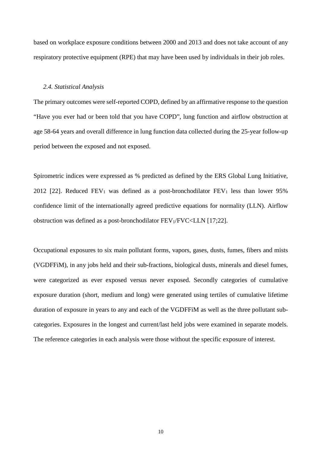based on workplace exposure conditions between 2000 and 2013 and does not take account of any respiratory protective equipment (RPE) that may have been used by individuals in their job roles.

### *2.4. Statistical Analysis*

The primary outcomes were self-reported COPD, defined by an affirmative response to the question "Have you ever had or been told that you have COPD", lung function and airflow obstruction at age 58-64 years and overall difference in lung function data collected during the 25-year follow-up period between the exposed and not exposed.

Spirometric indices were expressed as % predicted as defined by the ERS Global Lung Initiative, 2012 [22]. Reduced  $FEV_1$  was defined as a post-bronchodilator  $FEV_1$  less than lower 95% confidence limit of the internationally agreed predictive equations for normality (LLN). Airflow obstruction was defined as a post-bronchodilator FEV1/FVC<LLN [17;22].

Occupational exposures to six main pollutant forms, vapors, gases, dusts, fumes, fibers and mists (VGDFFiM), in any jobs held and their sub-fractions, biological dusts, minerals and diesel fumes, were categorized as ever exposed versus never exposed. Secondly categories of cumulative exposure duration (short, medium and long) were generated using tertiles of cumulative lifetime duration of exposure in years to any and each of the VGDFFiM as well as the three pollutant subcategories. Exposures in the longest and current/last held jobs were examined in separate models. The reference categories in each analysis were those without the specific exposure of interest.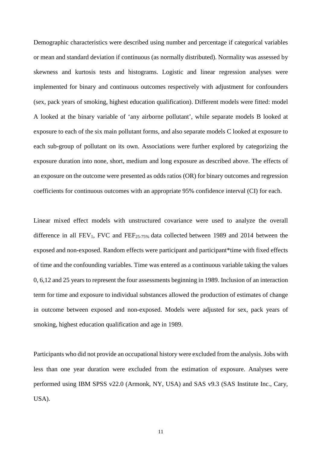Demographic characteristics were described using number and percentage if categorical variables or mean and standard deviation if continuous (as normally distributed). Normality was assessed by skewness and kurtosis tests and histograms. Logistic and linear regression analyses were implemented for binary and continuous outcomes respectively with adjustment for confounders (sex, pack years of smoking, highest education qualification). Different models were fitted: model A looked at the binary variable of 'any airborne pollutant', while separate models B looked at exposure to each of the six main pollutant forms, and also separate models C looked at exposure to each sub-group of pollutant on its own. Associations were further explored by categorizing the exposure duration into none, short, medium and long exposure as described above. The effects of an exposure on the outcome were presented as odds ratios (OR) for binary outcomes and regression coefficients for continuous outcomes with an appropriate 95% confidence interval (CI) for each.

Linear mixed effect models with unstructured covariance were used to analyze the overall difference in all FEV1, FVC and FEF25-75% data collected between 1989 and 2014 between the exposed and non-exposed. Random effects were participant and participant\*time with fixed effects of time and the confounding variables. Time was entered as a continuous variable taking the values 0, 6,12 and 25 years to represent the four assessments beginning in 1989. Inclusion of an interaction term for time and exposure to individual substances allowed the production of estimates of change in outcome between exposed and non-exposed. Models were adjusted for sex, pack years of smoking, highest education qualification and age in 1989.

Participants who did not provide an occupational history were excluded from the analysis. Jobs with less than one year duration were excluded from the estimation of exposure. Analyses were performed using IBM SPSS v22.0 (Armonk, NY, USA) and SAS v9.3 (SAS Institute Inc., Cary, USA).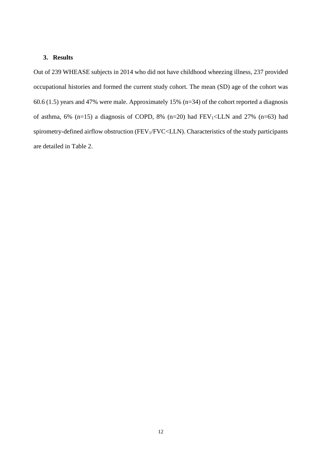## **3. Results**

Out of 239 WHEASE subjects in 2014 who did not have childhood wheezing illness, 237 provided occupational histories and formed the current study cohort. The mean (SD) age of the cohort was 60.6 (1.5) years and 47% were male. Approximately 15% (n=34) of the cohort reported a diagnosis of asthma, 6% (n=15) a diagnosis of COPD, 8% (n=20) had  $FEV_1 and 27% (n=63) had$ spirometry-defined airflow obstruction (FEV1/FVC<LLN). Characteristics of the study participants are detailed in Table 2.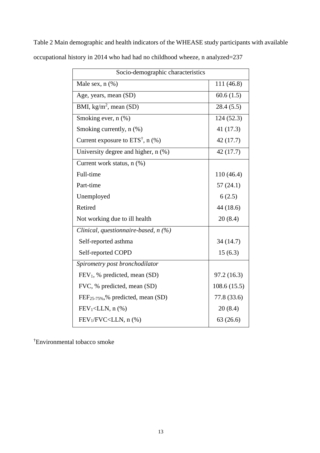| Socio-demographic characteristics             |             |  |  |  |  |
|-----------------------------------------------|-------------|--|--|--|--|
| Male sex, $n$ $(\%)$                          | 111 (46.8)  |  |  |  |  |
| Age, years, mean (SD)                         | 60.6(1.5)   |  |  |  |  |
| BMI, $\overline{\text{kg/m}^2}$ , mean (SD)   | 28.4(5.5)   |  |  |  |  |
| Smoking ever, n (%)                           | 124(52.3)   |  |  |  |  |
| Smoking currently, n (%)                      | 41 (17.3)   |  |  |  |  |
| Current exposure to $ETS^{\dagger}$ , n (%)   | 42 (17.7)   |  |  |  |  |
| University degree and higher, n (%)           | 42 (17.7)   |  |  |  |  |
| Current work status, n (%)                    |             |  |  |  |  |
| Full-time                                     | 110 (46.4)  |  |  |  |  |
| Part-time                                     | 57(24.1)    |  |  |  |  |
| Unemployed                                    | 6(2.5)      |  |  |  |  |
| Retired                                       | 44 (18.6)   |  |  |  |  |
| Not working due to ill health                 | 20(8.4)     |  |  |  |  |
| Clinical, questionnaire-based, $n$ (%)        |             |  |  |  |  |
| Self-reported asthma                          | 34 (14.7)   |  |  |  |  |
| Self-reported COPD                            | 15(6.3)     |  |  |  |  |
| Spirometry post bronchodilator                |             |  |  |  |  |
| $FEV1$ , % predicted, mean (SD)               | 97.2 (16.3) |  |  |  |  |
| FVC, % predicted, mean (SD)                   | 108.6(15.5) |  |  |  |  |
| FEF <sub>25-75%</sub> ,% predicted, mean (SD) | 77.8 (33.6) |  |  |  |  |
| $FEV_1 < LLN$ , n $(\%)$                      | 20(8.4)     |  |  |  |  |
| $FEV1/FVC < LLN$ , n $(\%)$                   | 63(26.6)    |  |  |  |  |

Table 2 Main demographic and health indicators of the WHEASE study participants with available occupational history in 2014 who had had no childhood wheeze, n analyzed=237

† Environmental tobacco smoke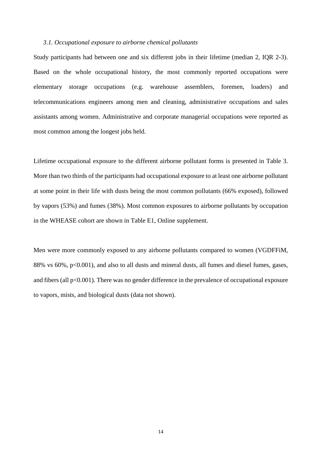### *3.1. Occupational exposure to airborne chemical pollutants*

Study participants had between one and six different jobs in their lifetime (median 2, IQR 2-3). Based on the whole occupational history, the most commonly reported occupations were elementary storage occupations (e.g. warehouse assemblers, foremen, loaders) and telecommunications engineers among men and cleaning, administrative occupations and sales assistants among women. Administrative and corporate managerial occupations were reported as most common among the longest jobs held.

Lifetime occupational exposure to the different airborne pollutant forms is presented in Table 3. More than two thirds of the participants had occupational exposure to at least one airborne pollutant at some point in their life with dusts being the most common pollutants (66% exposed), followed by vapors (53%) and fumes (38%). Most common exposures to airborne pollutants by occupation in the WHEASE cohort are shown in Table E1, Online supplement.

Men were more commonly exposed to any airborne pollutants compared to women (VGDFFiM, 88% vs 60%, p<0.001), and also to all dusts and mineral dusts, all fumes and diesel fumes, gases, and fibers (all p<0.001). There was no gender difference in the prevalence of occupational exposure to vapors, mists, and biological dusts (data not shown).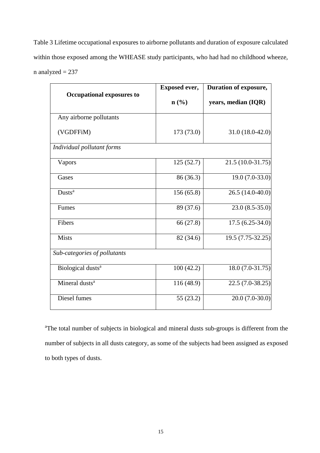Table 3 Lifetime occupational exposures to airborne pollutants and duration of exposure calculated within those exposed among the WHEASE study participants, who had had no childhood wheeze,  $n$  analyzed = 237

|                                  | <b>Exposed ever,</b> | Duration of exposure, |  |  |
|----------------------------------|----------------------|-----------------------|--|--|
| <b>Occupational exposures to</b> | $\mathbf{n}(\%)$     | years, median (IQR)   |  |  |
| Any airborne pollutants          |                      |                       |  |  |
| (VGDFFiM)                        | 173 (73.0)           | $31.0(18.0-42.0)$     |  |  |
| Individual pollutant forms       |                      |                       |  |  |
| Vapors                           | 125(52.7)            | 21.5 (10.0-31.75)     |  |  |
| Gases                            | 86 (36.3)            | $19.0(7.0-33.0)$      |  |  |
| Dusts <sup>a</sup>               | 156(65.8)            | 26.5 (14.0-40.0)      |  |  |
| Fumes                            | 89 (37.6)            | $23.0(8.5-35.0)$      |  |  |
| Fibers                           | 66 (27.8)            | $17.5(6.25-34.0)$     |  |  |
| <b>Mists</b>                     | 82 (34.6)            | 19.5 (7.75-32.25)     |  |  |
| Sub-categories of pollutants     |                      |                       |  |  |
| Biological dusts <sup>a</sup>    | 100(42.2)            | 18.0 (7.0-31.75)      |  |  |
| Mineral dusts <sup>a</sup>       | 116 (48.9)           | 22.5 (7.0-38.25)      |  |  |
| Diesel fumes                     | 55(23.2)             | $20.0(7.0-30.0)$      |  |  |

<sup>a</sup>The total number of subjects in biological and mineral dusts sub-groups is different from the number of subjects in all dusts category, as some of the subjects had been assigned as exposed to both types of dusts.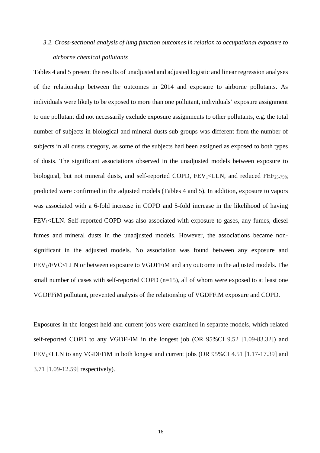# *3.2. Cross-sectional analysis of lung function outcomes in relation to occupational exposure to airborne chemical pollutants*

Tables 4 and 5 present the results of unadjusted and adjusted logistic and linear regression analyses of the relationship between the outcomes in 2014 and exposure to airborne pollutants. As individuals were likely to be exposed to more than one pollutant, individuals' exposure assignment to one pollutant did not necessarily exclude exposure assignments to other pollutants, e.g. the total number of subjects in biological and mineral dusts sub-groups was different from the number of subjects in all dusts category, as some of the subjects had been assigned as exposed to both types of dusts. The significant associations observed in the unadjusted models between exposure to biological, but not mineral dusts, and self-reported COPD,  $FEV_1 \leq LLN$ , and reduced  $FEF_{25-75\%}$ predicted were confirmed in the adjusted models (Tables 4 and 5). In addition, exposure to vapors was associated with a 6-fold increase in COPD and 5-fold increase in the likelihood of having  $FEV<sub>1</sub> < LLN$ . Self-reported COPD was also associated with exposure to gases, any fumes, diesel fumes and mineral dusts in the unadjusted models. However, the associations became nonsignificant in the adjusted models. No association was found between any exposure and FEV1/FVC<LLN or between exposure to VGDFFiM and any outcome in the adjusted models. The small number of cases with self-reported COPD (n=15), all of whom were exposed to at least one VGDFFiM pollutant, prevented analysis of the relationship of VGDFFiM exposure and COPD.

Exposures in the longest held and current jobs were examined in separate models, which related self-reported COPD to any VGDFFiM in the longest job (OR 95%CI 9.52 [1.09-83.32]) and FEV1<LLN to any VGDFFiM in both longest and current jobs (OR 95%CI 4.51 [1.17-17.39] and 3.71 [1.09-12.59] respectively).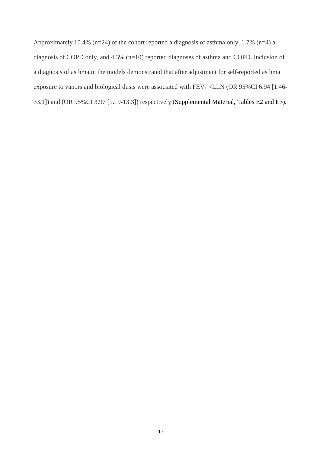Approximately 10.4% (n=24) of the cohort reported a diagnosis of asthma only, 1.7% (n=4) a diagnosis of COPD only, and 4.3% (n=10) reported diagnoses of asthma and COPD. Inclusion of a diagnosis of asthma in the models demonstrated that after adjustment for self-reported asthma exposure to vapors and biological dusts were associated with FEV<sub>1</sub> <LLN (OR 95%CI 6.94 [1.46-33.1]) and (OR 95%CI 3.97 [1.19-13.3]) respectively (Supplemental Material, Tables E2 and E3).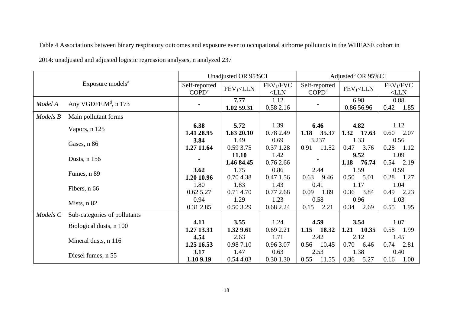Table 4 Associations between binary respiratory outcomes and exposure ever to occupational airborne pollutants in the WHEASE cohort in

| 2014: unadjusted and adjusted logistic regression analyses, n analyzed 237 |  |  |  |
|----------------------------------------------------------------------------|--|--|--|
|                                                                            |  |  |  |

| Exposure models <sup>a</sup> |                                  |                                    | Unadjusted OR 95%CI |                                  | Adjusted <sup>b</sup> OR 95%CI     |                    |                                  |  |
|------------------------------|----------------------------------|------------------------------------|---------------------|----------------------------------|------------------------------------|--------------------|----------------------------------|--|
|                              |                                  | Self-reported<br>COPD <sup>c</sup> | $FEV1<$ LLN         | FEV <sub>1</sub> /FVC<br>$<$ LLN | Self-reported<br>COPD <sup>c</sup> | $FEV1<$ LLN        | FEV <sub>1</sub> /FVC<br>$<$ LLN |  |
| Model A                      | Any VGDFFiM <sup>d</sup> , n 173 |                                    | 7.77<br>1.02 59.31  | 1.12<br>0.58 2.16                |                                    | 6.98<br>0.86 56.96 | 0.88<br>0.42<br>1.85             |  |
| Models B                     | Main pollutant forms             |                                    |                     |                                  |                                    |                    |                                  |  |
|                              | Vapors, n 125                    | 6.38                               | 5.72                | 1.39                             | 6.46                               | 4.82               | 1.12                             |  |
|                              |                                  | 1.41 28.95                         | 1.63 20.10          | 0.78 2.49                        | 1.18<br>35.37                      | 1.32<br>17.63      | 2.07<br>0.60                     |  |
|                              | Gases, n 86                      | 3.84                               | 1.49                | 0.69                             | 3.237                              | 1.33               | 0.56                             |  |
|                              |                                  | 1.27 11.64                         | 0.59 3.75           | 0.37 1.28                        | 11.52<br>0.91                      | 0.47<br>3.76       | 0.28<br>1.12                     |  |
|                              |                                  |                                    | 11.10               | 1.42                             |                                    | 9.52               | 1.09                             |  |
|                              | Dusts, n 156                     |                                    | 1.46 84.45          | 0.76 2.66                        |                                    | 1.18<br>76.74      | 0.54<br>2.19                     |  |
|                              | Fumes, n 89                      | 3.62                               | 1.75                | 0.86                             | 2.44                               | 1.59               | 0.59                             |  |
|                              |                                  | 1.20 10.96                         | 0.704.38            | 0.47 1.56                        | $0.63$ 9.46                        | 0.50<br>5.01       | 0.28<br>1.27                     |  |
|                              |                                  | 1.80                               | 1.83                | 1.43                             | 0.41                               | 1.17               | 1.04                             |  |
|                              | Fibers, n 66                     | 0.62 5.27                          | 0.71 4.70           | 0.77 2.68                        | $0.09$ 1.89                        | 0.36<br>3.84       | $0.49$ 2.23                      |  |
|                              |                                  | 0.94                               | 1.29                | 1.23                             | 0.58                               | 0.96               | 1.03                             |  |
|                              | Mists, n 82                      | 0.31 2.85                          | 0.50 3.29           | 0.68 2.24                        | 2.21<br>0.15                       | 0.34<br>2.69       | 0.55<br>1.95                     |  |
| Models C                     | Sub-categories of pollutants     |                                    |                     |                                  |                                    |                    |                                  |  |
|                              | Biological dusts, n 100          | 4.11                               | 3.55                | 1.24                             | 4.59                               | 3.54               | 1.07                             |  |
|                              |                                  | 1.27 13.31                         | 1.32 9.61           | 0.69 2.21                        | 1.15<br>18.32                      | 1.21<br>10.35      | 0.58<br>1.99                     |  |
|                              |                                  | 4.54                               | 2.63                | 1.71                             | 2.42                               | 2.12               | 1.45                             |  |
|                              | Mineral dusts, n 116             | 1.25 16.53                         | 0.987.10            | 0.96 3.07                        | 0.56<br>10.45                      | 0.70<br>6.46       | 0.74<br>2.81                     |  |
|                              |                                  | 3.17                               | 1.47                | 0.63                             | 2.53                               | 1.38               | 0.40                             |  |
|                              | Diesel fumes, n 55               | 1.10 9.19                          | 0.54 4.03           | 0.30 1.30                        | 11.55<br>0.55                      | 0.36<br>5.27       | 0.16<br>1.00                     |  |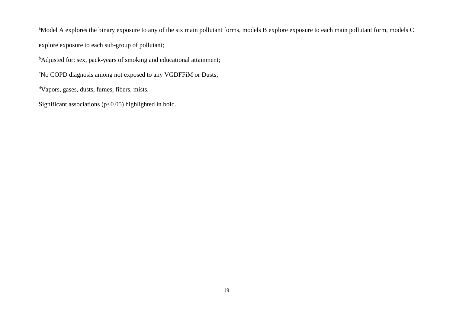<sup>a</sup>Model A explores the binary exposure to any of the six main pollutant forms, models B explore exposure to each main pollutant form, models C explore exposure to each sub-group of pollutant;

<sup>b</sup>Adjusted for: sex, pack-years of smoking and educational attainment;

c No COPD diagnosis among not exposed to any VGDFFiM or Dusts;

d Vapors, gases, dusts, fumes, fibers, mists.

Significant associations (p<0.05) highlighted in bold.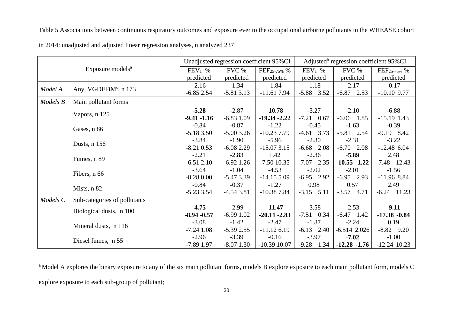Table 5 Associations between continuous respiratory outcomes and exposure ever to the occupational airborne pollutants in the WHEASE cohort

| Exposure models <sup>a</sup> |                                   |                |              | Unadjusted regression coefficient 95%CI | Adjusted <sup>b</sup> regression coefficient 95%CI |                 |                   |  |
|------------------------------|-----------------------------------|----------------|--------------|-----------------------------------------|----------------------------------------------------|-----------------|-------------------|--|
|                              |                                   | $FEV_1$ %      | FVC %        | $FEF_{25-75\%}$ %                       | $FEV_1$ %                                          | FVC %           | $FEF_{25-75\%}$ % |  |
|                              |                                   |                | predicted    | predicted                               | predicted                                          | predicted       | predicted         |  |
| Model A                      |                                   |                | $-1.34$      | $-1.84$                                 | $-1.18$                                            | $-2.17$         | $-0.17$           |  |
|                              | Any, VGDFFiM <sup>c</sup> , n 173 | $-6.85$ 2.54   | $-5.813.13$  | $-11.617.94$                            | $-5.88$ 3.52                                       | $-6.87$ 2.53    | $-10.10$ 9.77     |  |
| Models B                     | Main pollutant forms              |                |              |                                         |                                                    |                 |                   |  |
|                              |                                   | $-5.28$        | $-2.87$      | $-10.78$                                | $-3.27$                                            | $-2.10$         | $-6.88$           |  |
|                              | Vapors, n 125                     | $-9.41 - 1.16$ | $-6.83$ 1.09 | $-19.34 - 2.22$                         | $-7.21$ 0.67                                       | $-6.06$ 1.85    | $-15.19$ 1.43     |  |
|                              | Gases, n 86                       | $-0.84$        | $-0.87$      | $-1.22$                                 | $-0.45$                                            | $-1.63$         | $-0.39$           |  |
|                              |                                   | $-5.183.50$    | $-5.003.26$  | $-10.23$ 7.79                           | $-4.61$ 3.73                                       | $-5.81$ 2.54    | $-9.19$ 8.42      |  |
|                              | Dusts, n 156                      | $-3.84$        | $-1.90$      | $-5.96$                                 | $-2.30$                                            | $-2.31$         | $-3.22$           |  |
|                              |                                   | $-8.21$ 0.53   | $-6.082.29$  | $-15.073.15$                            | $-6.68$ 2.08                                       | $-6.70$ 2.08    | $-12.48$ 6.04     |  |
|                              |                                   | $-2.21$        | $-2.83$      | 1.42                                    | $-2.36$                                            | $-5.89$         | 2.48              |  |
|                              | Fumes, n 89                       | $-6.512.10$    | $-6.92$ 1.26 | $-7.50$ 10.35                           | $-7.07$ 2.35                                       | $-10.55 - 1.22$ | $-7.48$ 12.43     |  |
|                              | Fibers, n 66                      | $-3.64$        | $-1.04$      | $-4.53$                                 | $-2.02$                                            | $-2.01$         | $-1.56$           |  |
|                              |                                   | $-8.280.00$    | $-5.473.39$  | $-14.155.09$                            | $-6.95$ 2.92                                       | $-6.95$ 2.93    | $-11.96$ 8.84     |  |
|                              | Mists, n 82                       | $-0.84$        | $-0.37$      | $-1.27$                                 | 0.98                                               | 0.57            | 2.49              |  |
|                              |                                   | $-5.2333.54$   | $-4.543.81$  | $-10.387.84$                            | $-3.15$ $5.11$                                     | $-3.57$ 4.71    | $-6.24$ 11.23     |  |
| Models <sub>C</sub>          | Sub-categories of pollutants      |                |              |                                         |                                                    |                 |                   |  |
|                              | Biological dusts, n 100           | $-4.75$        | $-2.99$      | $-11.47$                                | $-3.58$                                            | $-2.53$         | $-9.11$           |  |
|                              |                                   | $-8.94 - 0.57$ | $-6.991.02$  | $-20.11 - 2.83$                         | $-7.51$ 0.34                                       | $-6.47$ 1.42    | $-17.38 - 0.84$   |  |
|                              | Mineral dusts, n 116              | $-3.08$        | $-1.42$      | $-2.47$                                 | $-1.87$                                            | $-2.24$         | 0.19              |  |
|                              |                                   | $-7.24$ 1.08   | $-5.392.55$  | $-11.126.19$                            | $-6.13$ 2.40                                       | $-6.514$ 2.026  | $-8.82$ 9.20      |  |
|                              | Diesel fumes, n 55                | $-2.96$        | $-3.39$      | $-0.16$                                 | $-3.97$                                            | $-7.02$         | $-1.00$           |  |
|                              |                                   | $-7.89$ 1.97   | $-8.07$ 1.30 | $-10.39$ 10.07                          | $-9.28$ 1.34                                       | $-12.28 - 1.76$ | $-12.24$ 10.23    |  |

in 2014: unadjusted and adjusted linear regression analyses, n analyzed 237

<sup>a</sup> Model A explores the binary exposure to any of the six main pollutant forms, models B explore exposure to each main pollutant form, models C explore exposure to each sub-group of pollutant;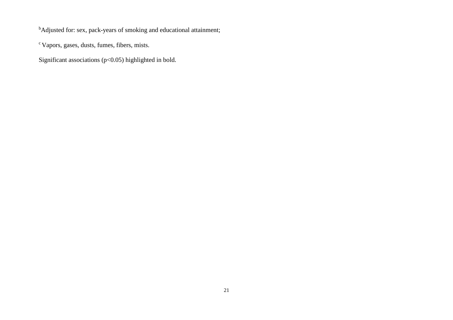<sup>b</sup>Adjusted for: sex, pack-years of smoking and educational attainment;

c Vapors, gases, dusts, fumes, fibers, mists.

Significant associations (p<0.05) highlighted in bold.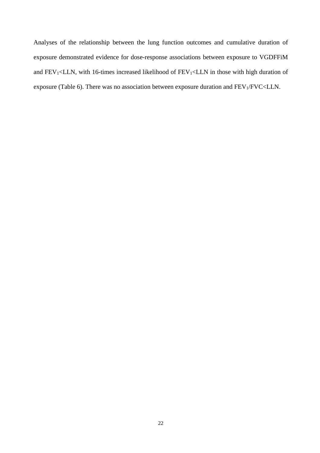Analyses of the relationship between the lung function outcomes and cumulative duration of exposure demonstrated evidence for dose-response associations between exposure to VGDFFiM and  $FEV_1, with 16-times increased likelihood of  $FEV_1 in those with high duration of$$ exposure (Table 6). There was no association between exposure duration and FEV1/FVC<LLN.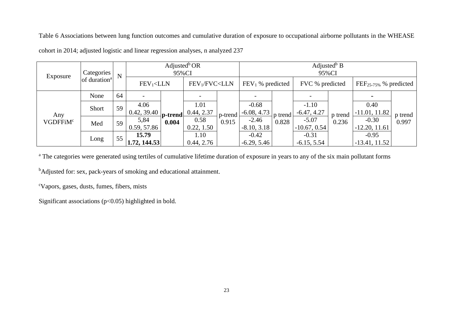Table 6 Associations between lung function outcomes and cumulative duration of exposure to occupational airborne pollutants in the WHEASE

| Exposure                    | Categories               |    |                       |                                                                                                                                                                                                      | N                  |                    |                          | Adjusted <sup>b</sup> OR<br>95%CI |                           | Adjusted <sup>b</sup> B<br>95%CI |                             |         |  |
|-----------------------------|--------------------------|----|-----------------------|------------------------------------------------------------------------------------------------------------------------------------------------------------------------------------------------------|--------------------|--------------------|--------------------------|-----------------------------------|---------------------------|----------------------------------|-----------------------------|---------|--|
|                             | of duration <sup>a</sup> |    |                       | $FEV1<$ LLN<br>FEV1/FVC <lln< td=""><td colspan="2"><math>FEV1</math>% predicted</td><td></td><td colspan="2">FVC % predicted</td><td colspan="2"><math>FEF_{25-75\%}</math> % predicted</td></lln<> |                    | $FEV1$ % predicted |                          |                                   | FVC % predicted           |                                  | $FEF_{25-75\%}$ % predicted |         |  |
| Any<br>VGDFFiM <sup>c</sup> | None                     | 64 |                       |                                                                                                                                                                                                      |                    |                    |                          |                                   |                           |                                  |                             |         |  |
|                             | Short                    | 59 | 4.06<br>0.42, 39.40   | p-trend                                                                                                                                                                                              | 1.01<br>0.44, 2.37 | p-trend            | $-0.68$<br>$-6.08, 4.73$ | p trend                           | $-1.10$<br>$-6.47, 4.27$  | p trend                          | 0.40<br>$-11.01, 11.82$     | p trend |  |
|                             | Med                      | 59 | 5,84<br>0.59, 57.86   | 0.004                                                                                                                                                                                                | 0.58<br>0.22, 1.50 | 0.915              | $-2.46$<br>$-8.10, 3.18$ | 0.828                             | $-5.07$<br>$-10.67, 0.54$ | 0.236                            | $-0.30$<br>$-12.20, 11.61$  | 0.997   |  |
|                             | Long                     | 55 | 15.79<br>1.72, 144.53 |                                                                                                                                                                                                      | 1.10<br>0.44, 2.76 |                    | $-0.42$<br>$-6.29, 5.46$ |                                   | $-0.31$<br>$-6.15, 5.54$  |                                  | $-0.95$<br>$-13.41, 11.52$  |         |  |

cohort in 2014; adjusted logistic and linear regression analyses, n analyzed 237

<sup>a</sup> The categories were generated using tertiles of cumulative lifetime duration of exposure in years to any of the six main pollutant forms

<sup>b</sup>Adjusted for: sex, pack-years of smoking and educational attainment.

c Vapors, gases, dusts, fumes, fibers, mists

Significant associations  $(p<0.05)$  highlighted in bold.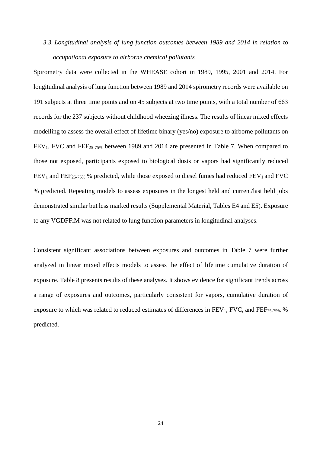# *3.3. Longitudinal analysis of lung function outcomes between 1989 and 2014 in relation to occupational exposure to airborne chemical pollutants*

Spirometry data were collected in the WHEASE cohort in 1989, 1995, 2001 and 2014. For longitudinal analysis of lung function between 1989 and 2014 spirometry records were available on 191 subjects at three time points and on 45 subjects at two time points, with a total number of 663 records for the 237 subjects without childhood wheezing illness. The results of linear mixed effects modelling to assess the overall effect of lifetime binary (yes/no) exposure to airborne pollutants on FEV<sub>1</sub>, FVC and FEF<sub>25-75%</sub> between 1989 and 2014 are presented in Table 7. When compared to those not exposed, participants exposed to biological dusts or vapors had significantly reduced  $FEV_1$  and  $FEF_{25-75\%}$  % predicted, while those exposed to diesel fumes had reduced  $FEV_1$  and  $FVC$ % predicted. Repeating models to assess exposures in the longest held and current/last held jobs demonstrated similar but less marked results (Supplemental Material, Tables E4 and E5). Exposure to any VGDFFiM was not related to lung function parameters in longitudinal analyses.

Consistent significant associations between exposures and outcomes in Table 7 were further analyzed in linear mixed effects models to assess the effect of lifetime cumulative duration of exposure. Table 8 presents results of these analyses. It shows evidence for significant trends across a range of exposures and outcomes, particularly consistent for vapors, cumulative duration of exposure to which was related to reduced estimates of differences in  $FEV_1$ ,  $FVC$ , and  $FEF_{25-75\%}$  % predicted.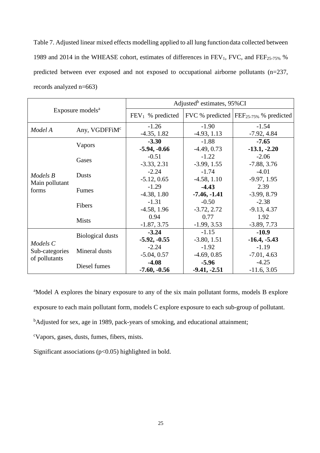Table 7. Adjusted linear mixed effects modelling applied to all lung function data collected between 1989 and 2014 in the WHEASE cohort, estimates of differences in  $FEV_1$ , FVC, and  $FEF_{25-75\%}$  % predicted between ever exposed and not exposed to occupational airborne pollutants (n=237, records analyzed n=663)

|                |                              | Adjusted <sup>b</sup> estimates, 95%CI |                |                                             |  |  |
|----------------|------------------------------|----------------------------------------|----------------|---------------------------------------------|--|--|
|                | Exposure models <sup>a</sup> | $FEV_1$ % predicted                    |                | FVC % predicted $FEF_{25-75\%}$ % predicted |  |  |
| Model A        | Any, VGDFFiM <sup>c</sup>    | $-1.26$                                | $-1.90$        | $-1.54$                                     |  |  |
|                |                              | $-4.35, 1.82$                          | $-4.93, 1.13$  | $-7.92, 4.84$                               |  |  |
|                |                              | $-3.30$                                | $-1.88$        | $-7.65$                                     |  |  |
|                | Vapors                       | $-5.94, -0.66$                         | $-4.49, 0.73$  | $-13.1, -2.20$                              |  |  |
|                |                              | $-0.51$                                | $-1.22$        | $-2.06$                                     |  |  |
|                | Gases                        | $-3.33, 2.31$                          | $-3.99, 1.55$  | $-7.88, 3.76$                               |  |  |
|                | <b>Dusts</b>                 | $-2.24$                                | $-1.74$        | $-4.01$                                     |  |  |
| Models B       |                              | $-5.12, 0.65$                          | $-4.58, 1.10$  | $-9.97, 1.95$                               |  |  |
| Main pollutant | Fumes                        | $-1.29$                                | $-4.43$        | 2.39                                        |  |  |
| forms          |                              | $-4.38, 1.80$                          | $-7.46, -1.41$ | $-3.99, 8.79$                               |  |  |
|                | Fibers                       | $-1.31$                                | $-0.50$        | $-2.38$                                     |  |  |
|                |                              | $-4.58, 1.96$                          | $-3.72, 2.72$  | $-9.13, 4.37$                               |  |  |
|                | <b>Mists</b>                 | 0.94                                   | 0.77           | 1.92                                        |  |  |
|                |                              | $-1.87, 3.75$                          | $-1.99, 3.53$  | $-3.89, 7.73$                               |  |  |
|                |                              | $-3.24$                                | $-1.15$        | $-10.9$                                     |  |  |
|                | <b>Biological dusts</b>      | $-5.92, -0.55$                         | $-3.80, 1.51$  | $-16.4, -5.43$                              |  |  |
| Models C       |                              | $-2.24$                                | $-1.92$        | $-1.19$                                     |  |  |
| Sub-categories | Mineral dusts                | $-5.04, 0.57$                          | $-4.69, 0.85$  | $-7.01, 4.63$                               |  |  |
| of pollutants  |                              | $-4.08$                                | $-5.96$        | $-4.25$                                     |  |  |
|                | Diesel fumes                 | $-7.60, -0.56$                         | $-9.41, -2.51$ | $-11.6, 3.05$                               |  |  |

<sup>a</sup>Model A explores the binary exposure to any of the six main pollutant forms, models B explore exposure to each main pollutant form, models C explore exposure to each sub-group of pollutant.

<sup>b</sup>Adjusted for sex, age in 1989, pack-years of smoking, and educational attainment;

c Vapors, gases, dusts, fumes, fibers, mists.

Significant associations  $(p<0.05)$  highlighted in bold.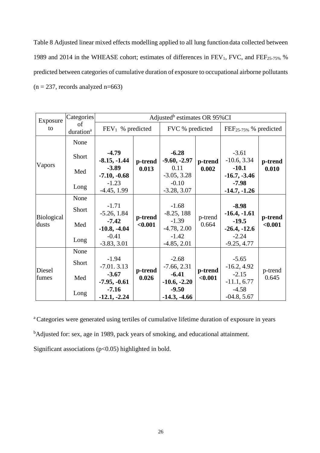Table 8 Adjusted linear mixed effects modelling applied to all lung function data collected between 1989 and 2014 in the WHEASE cohort; estimates of differences in  $FEV_1$ , FVC, and  $FEF_{25-75\%}$  % predicted between categories of cumulative duration of exposure to occupational airborne pollutants  $(n = 237,$  records analyzed n=663)

| Exposure                   | Categories                  | Adjusted <sup>b</sup> estimates OR 95%CI |                    |                           |                  |                             |                    |  |
|----------------------------|-----------------------------|------------------------------------------|--------------------|---------------------------|------------------|-----------------------------|--------------------|--|
| to                         | of<br>duration <sup>a</sup> | $FEV1$ % predicted                       |                    | FVC % predicted           |                  | $FEF_{25-75\%}$ % predicted |                    |  |
|                            | None                        |                                          |                    |                           |                  |                             |                    |  |
|                            | Short                       | $-4.79$<br>$-8.15, -1.44$                | p-trend            | $-6.28$<br>$-9.60, -2.97$ | p-trend          | $-3.61$<br>$-10.6, 3.34$    | p-trend<br>0.010   |  |
| Vapors                     | Med                         | $-3.89$<br>$-7.10, -0.68$                | 0.013              | 0.11<br>$-3.05, 3.28$     | 0.002            | $-10.1$<br>$-16.7, -3.46$   |                    |  |
|                            | Long                        | $-1.23$<br>$-4.45, 1.99$                 |                    | $-0.10$<br>$-3.28, 3.07$  |                  | $-7.98$<br>$-14.7, -1.26$   |                    |  |
|                            | None                        |                                          |                    |                           |                  |                             |                    |  |
|                            | Short                       | $-1.71$<br>$-5.26, 1.84$                 |                    | $-1.68$<br>$-8.25, 188$   | p-trend<br>0.664 | $-8.98$<br>$-16.4, -1.61$   | p-trend<br>< 0.001 |  |
| <b>Biological</b><br>dusts | Med                         | $-7.42$<br>$-10.8, -4.04$                | p-trend<br>< 0.001 | $-1.39$<br>$-4.78, 2.00$  |                  | $-19.5$<br>$-26.4, -12.6$   |                    |  |
|                            | Long                        | $-0.41$<br>$-3.83, 3.01$                 |                    | $-1.42$<br>$-4.85, 2.01$  |                  | $-2.24$<br>$-9.25, 4.77$    |                    |  |
|                            | None                        |                                          |                    |                           |                  |                             |                    |  |
| Diesel                     | Short                       | $-1.94$<br>$-7.01.3.13$                  | p-trend            | $-2.68$<br>$-7.66, 2.31$  | p-trend          | $-5.65$<br>$-16.2, 4.92$    |                    |  |
| fumes                      | Med                         | $-3.67$<br>$-7.95, -0.61$                | 0.026              | $-6.41$<br>$-10.6, -2.20$ | < 0.001          | $-2.15$<br>$-11.1, 6.77$    | p-trend<br>0.645   |  |
|                            | Long                        | $-7.16$<br>$-12.1, -2.24$                |                    | $-9.50$<br>$-14.3, -4.66$ |                  | $-4.58$<br>$-04.8, 5.67$    |                    |  |

<sup>a</sup> Categories were generated using tertiles of cumulative lifetime duration of exposure in years

<sup>b</sup>Adjusted for: sex, age in 1989, pack years of smoking, and educational attainment.

Significant associations (p<0.05) highlighted in bold.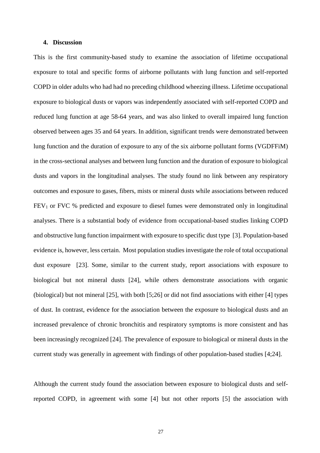### **4. Discussion**

This is the first community-based study to examine the association of lifetime occupational exposure to total and specific forms of airborne pollutants with lung function and self-reported COPD in older adults who had had no preceding childhood wheezing illness. Lifetime occupational exposure to biological dusts or vapors was independently associated with self-reported COPD and reduced lung function at age 58-64 years, and was also linked to overall impaired lung function observed between ages 35 and 64 years. In addition, significant trends were demonstrated between lung function and the duration of exposure to any of the six airborne pollutant forms (VGDFFiM) in the cross-sectional analyses and between lung function and the duration of exposure to biological dusts and vapors in the longitudinal analyses. The study found no link between any respiratory outcomes and exposure to gases, fibers, mists or mineral dusts while associations between reduced FEV<sub>1</sub> or FVC % predicted and exposure to diesel fumes were demonstrated only in longitudinal analyses. There is a substantial body of evidence from occupational-based studies linking COPD and obstructive lung function impairment with exposure to specific dust type [3]. Population-based evidence is, however, less certain. Most population studies investigate the role of total occupational dust exposure [23]. Some, similar to the current study, report associations with exposure to biological but not mineral dusts [24], while others demonstrate associations with organic (biological) but not mineral [25], with both [5;26] or did not find associations with either [4] types of dust. In contrast, evidence for the association between the exposure to biological dusts and an increased prevalence of chronic bronchitis and respiratory symptoms is more consistent and has been increasingly recognized [24]. The prevalence of exposure to biological or mineral dusts in the current study was generally in agreement with findings of other population-based studies [4;24].

Although the current study found the association between exposure to biological dusts and selfreported COPD, in agreement with some [4] but not other reports [5] the association with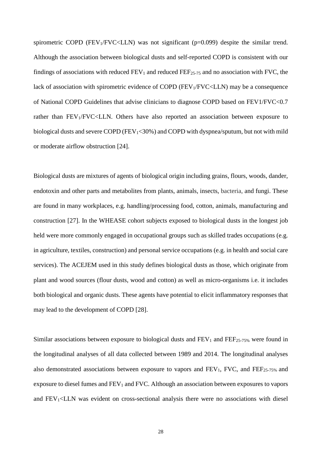spirometric COPD (FEV $_1$ /FVC<LLN) was not significant (p=0.099) despite the similar trend. Although the association between biological dusts and self-reported COPD is consistent with our findings of associations with reduced  $FEV_1$  and reduced  $FEF_{25-75}$  and no association with FVC, the lack of association with spirometric evidence of COPD (FEV<sub>1</sub>/FVC<LLN) may be a consequence of National COPD Guidelines that advise clinicians to diagnose COPD based on FEV1/FVC<0.7 rather than  $FEV<sub>1</sub>/FVC<sub>1</sub>/FVC<sub>2</sub>/N$ . Others have also reported an association between exposure to biological dusts and severe COPD ( $FEV<sub>1</sub><30%$ ) and COPD with dyspnea/sputum, but not with mild or moderate airflow obstruction [24].

Biological dusts are mixtures of agents of biological origin including grains, flours, woods, dander, endotoxin and other parts and metabolites from plants, animals, insects, bacteria, and fungi. These are found in many workplaces, e.g. handling/processing food, cotton, animals, manufacturing and construction [27]. In the WHEASE cohort subjects exposed to biological dusts in the longest job held were more commonly engaged in occupational groups such as skilled trades occupations (e.g. in agriculture, textiles, construction) and personal service occupations (e.g. in health and social care services). The ACEJEM used in this study defines biological dusts as those, which originate from plant and wood sources (flour dusts, wood and cotton) as well as micro-organisms i.e. it includes both biological and organic dusts. These agents have potential to elicit inflammatory responses that may lead to the development of COPD [28].

Similar associations between exposure to biological dusts and  $FEV_1$  and  $FEF_{25-75\%}$  were found in the longitudinal analyses of all data collected between 1989 and 2014. The longitudinal analyses also demonstrated associations between exposure to vapors and  $FEV_1$ ,  $FVC$ , and  $FEF_{25-75\%}$  and exposure to diesel fumes and FEV<sub>1</sub> and FVC. Although an association between exposures to vapors and  $FEV<sub>1</sub><$   $\leq$  LLN was evident on cross-sectional analysis there were no associations with diesel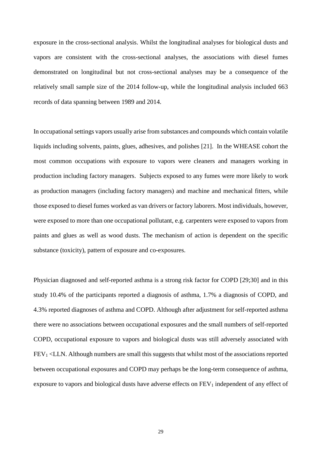exposure in the cross-sectional analysis. Whilst the longitudinal analyses for biological dusts and vapors are consistent with the cross-sectional analyses, the associations with diesel fumes demonstrated on longitudinal but not cross-sectional analyses may be a consequence of the relatively small sample size of the 2014 follow-up, while the longitudinal analysis included 663 records of data spanning between 1989 and 2014.

In occupational settings vapors usually arise from substances and compounds which contain volatile liquids including solvents, paints, glues, adhesives, and polishes [21]. In the WHEASE cohort the most common occupations with exposure to vapors were cleaners and managers working in production including factory managers. Subjects exposed to any fumes were more likely to work as production managers (including factory managers) and machine and mechanical fitters, while those exposed to diesel fumes worked as van drivers or factory laborers. Most individuals, however, were exposed to more than one occupational pollutant, e.g. carpenters were exposed to vapors from paints and glues as well as wood dusts. The mechanism of action is dependent on the specific substance (toxicity), pattern of exposure and co-exposures.

Physician diagnosed and self-reported asthma is a strong risk factor for COPD [29;30] and in this study 10.4% of the participants reported a diagnosis of asthma, 1.7% a diagnosis of COPD, and 4.3% reported diagnoses of asthma and COPD. Although after adjustment for self-reported asthma there were no associations between occupational exposures and the small numbers of self-reported COPD, occupational exposure to vapors and biological dusts was still adversely associated with FEV1 <LLN. Although numbers are small this suggests that whilst most of the associations reported between occupational exposures and COPD may perhaps be the long-term consequence of asthma, exposure to vapors and biological dusts have adverse effects on  $FEV<sub>1</sub>$  independent of any effect of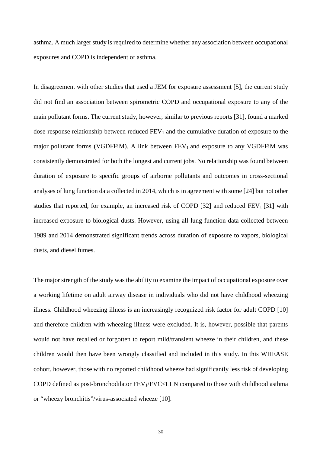asthma. A much larger study is required to determine whether any association between occupational exposures and COPD is independent of asthma.

In disagreement with other studies that used a JEM for exposure assessment [5], the current study did not find an association between spirometric COPD and occupational exposure to any of the main pollutant forms. The current study, however, similar to previous reports [31], found a marked dose-response relationship between reduced  $FEV<sub>1</sub>$  and the cumulative duration of exposure to the major pollutant forms (VGDFFiM). A link between  $FEV<sub>1</sub>$  and exposure to any VGDFFiM was consistently demonstrated for both the longest and current jobs. No relationship was found between duration of exposure to specific groups of airborne pollutants and outcomes in cross-sectional analyses of lung function data collected in 2014, which is in agreement with some [24] but not other studies that reported, for example, an increased risk of COPD [32] and reduced  $FEV<sub>1</sub>$  [31] with increased exposure to biological dusts. However, using all lung function data collected between 1989 and 2014 demonstrated significant trends across duration of exposure to vapors, biological dusts, and diesel fumes.

The major strength of the study was the ability to examine the impact of occupational exposure over a working lifetime on adult airway disease in individuals who did not have childhood wheezing illness. Childhood wheezing illness is an increasingly recognized risk factor for adult COPD [10] and therefore children with wheezing illness were excluded. It is, however, possible that parents would not have recalled or forgotten to report mild/transient wheeze in their children, and these children would then have been wrongly classified and included in this study. In this WHEASE cohort, however, those with no reported childhood wheeze had significantly less risk of developing COPD defined as post-bronchodilator FEV<sub>1</sub>/FVC<LLN compared to those with childhood asthma or "wheezy bronchitis"/virus-associated wheeze [10].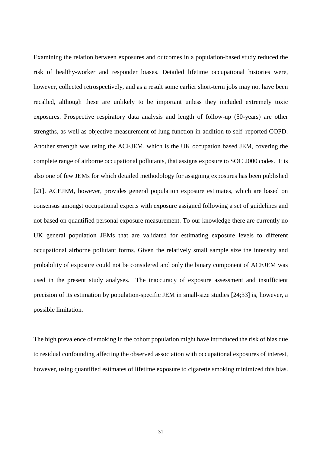Examining the relation between exposures and outcomes in a population-based study reduced the risk of healthy-worker and responder biases. Detailed lifetime occupational histories were, however, collected retrospectively, and as a result some earlier short-term jobs may not have been recalled, although these are unlikely to be important unless they included extremely toxic exposures. Prospective respiratory data analysis and length of follow-up (50-years) are other strengths, as well as objective measurement of lung function in addition to self–reported COPD. Another strength was using the ACEJEM, which is the UK occupation based JEM, covering the complete range of airborne occupational pollutants, that assigns exposure to SOC 2000 codes. It is also one of few JEMs for which detailed methodology for assigning exposures has been published [21]. ACEJEM, however, provides general population exposure estimates, which are based on consensus amongst occupational experts with exposure assigned following a set of guidelines and not based on quantified personal exposure measurement. To our knowledge there are currently no UK general population JEMs that are validated for estimating exposure levels to different occupational airborne pollutant forms. Given the relatively small sample size the intensity and probability of exposure could not be considered and only the binary component of ACEJEM was used in the present study analyses. The inaccuracy of exposure assessment and insufficient precision of its estimation by population-specific JEM in small-size studies [24;33] is, however, a possible limitation.

The high prevalence of smoking in the cohort population might have introduced the risk of bias due to residual confounding affecting the observed association with occupational exposures of interest, however, using quantified estimates of lifetime exposure to cigarette smoking minimized this bias.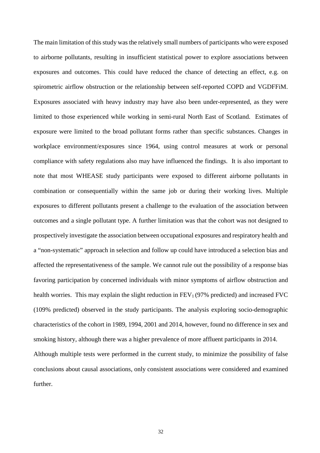The main limitation of this study was the relatively small numbers of participants who were exposed to airborne pollutants, resulting in insufficient statistical power to explore associations between exposures and outcomes. This could have reduced the chance of detecting an effect, e.g. on spirometric airflow obstruction or the relationship between self-reported COPD and VGDFFiM. Exposures associated with heavy industry may have also been under-represented, as they were limited to those experienced while working in semi-rural North East of Scotland. Estimates of exposure were limited to the broad pollutant forms rather than specific substances. Changes in workplace environment/exposures since 1964, using control measures at work or personal compliance with safety regulations also may have influenced the findings. It is also important to note that most WHEASE study participants were exposed to different airborne pollutants in combination or consequentially within the same job or during their working lives. Multiple exposures to different pollutants present a challenge to the evaluation of the association between outcomes and a single pollutant type. A further limitation was that the cohort was not designed to prospectively investigate the association between occupational exposures and respiratory health and a "non-systematic" approach in selection and follow up could have introduced a selection bias and affected the representativeness of the sample. We cannot rule out the possibility of a response bias favoring participation by concerned individuals with minor symptoms of airflow obstruction and health worries. This may explain the slight reduction in  $FEV<sub>1</sub>$  (97% predicted) and increased FVC (109% predicted) observed in the study participants. The analysis exploring socio-demographic characteristics of the cohort in 1989, 1994, 2001 and 2014, however, found no difference in sex and smoking history, although there was a higher prevalence of more affluent participants in 2014. Although multiple tests were performed in the current study, to minimize the possibility of false conclusions about causal associations, only consistent associations were considered and examined further.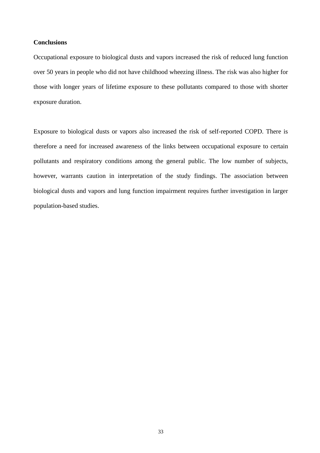## **Conclusions**

Occupational exposure to biological dusts and vapors increased the risk of reduced lung function over 50 years in people who did not have childhood wheezing illness. The risk was also higher for those with longer years of lifetime exposure to these pollutants compared to those with shorter exposure duration.

Exposure to biological dusts or vapors also increased the risk of self-reported COPD. There is therefore a need for increased awareness of the links between occupational exposure to certain pollutants and respiratory conditions among the general public. The low number of subjects, however, warrants caution in interpretation of the study findings. The association between biological dusts and vapors and lung function impairment requires further investigation in larger population-based studies.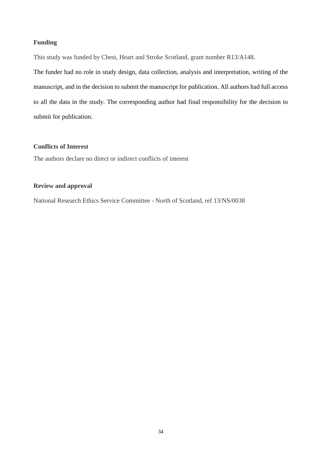# **Funding**

This study was funded by Chest, Heart and Stroke Scotland, grant number R13/A148.

The funder had no role in study design, data collection, analysis and interpretation, writing of the manuscript, and in the decision to submit the manuscript for publication. All authors had full access to all the data in the study. The corresponding author had final responsibility for the decision to submit for publication.

# **Conflicts of Interest**

The authors declare no direct or indirect conflicts of interest

# **Review and approval**

National Research Ethics Service Committee - North of Scotland, ref 13/NS/0038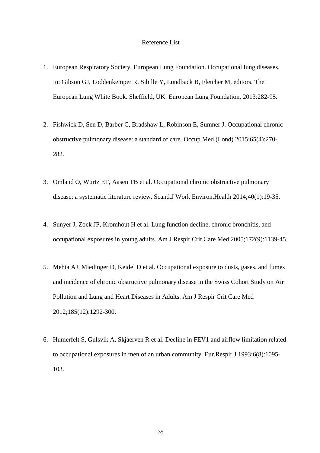### Reference List

- 1. European Respiratory Society, European Lung Foundation. Occupational lung diseases. In: Gibson GJ, Loddenkemper R, Sibille Y, Lundback B, Fletcher M, editors. The European Lung White Book. Sheffield, UK: European Lung Foundation, 2013:282-95.
- 2. Fishwick D, Sen D, Barber C, Bradshaw L, Robinson E, Sumner J. Occupational chronic obstructive pulmonary disease: a standard of care. Occup.Med (Lond) 2015;65(4):270- 282.
- 3. Omland O, Wurtz ET, Aasen TB et al. Occupational chronic obstructive pulmonary disease: a systematic literature review. Scand.J Work Environ.Health 2014;40(1):19-35.
- 4. Sunyer J, Zock JP, Kromhout H et al. Lung function decline, chronic bronchitis, and occupational exposures in young adults. Am J Respir Crit Care Med 2005;172(9):1139-45.
- 5. Mehta AJ, Miedinger D, Keidel D et al. Occupational exposure to dusts, gases, and fumes and incidence of chronic obstructive pulmonary disease in the Swiss Cohort Study on Air Pollution and Lung and Heart Diseases in Adults. Am J Respir Crit Care Med 2012;185(12):1292-300.
- 6. Humerfelt S, Gulsvik A, Skjaerven R et al. Decline in FEV1 and airflow limitation related to occupational exposures in men of an urban community. Eur.Respir.J 1993;6(8):1095- 103.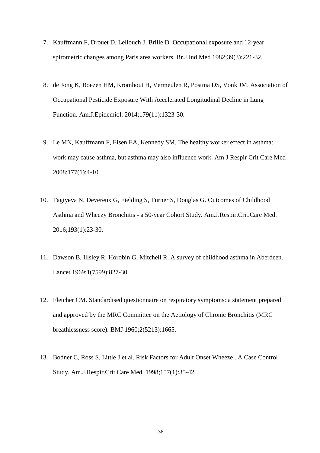- 7. Kauffmann F, Drouet D, Lellouch J, Brille D. Occupational exposure and 12-year spirometric changes among Paris area workers. Br.J Ind.Med 1982;39(3):221-32.
- 8. de Jong K, Boezen HM, Kromhout H, Vermeulen R, Postma DS, Vonk JM. Association of Occupational Pesticide Exposure With Accelerated Longitudinal Decline in Lung Function. Am.J.Epidemiol. 2014;179(11):1323-30.
- 9. Le MN, Kauffmann F, Eisen EA, Kennedy SM. The healthy worker effect in asthma: work may cause asthma, but asthma may also influence work. Am J Respir Crit Care Med 2008;177(1):4-10.
- 10. Tagiyeva N, Devereux G, Fielding S, Turner S, Douglas G. Outcomes of Childhood Asthma and Wheezy Bronchitis - a 50-year Cohort Study. Am.J.Respir.Crit.Care Med. 2016;193(1):23-30.
- 11. Dawson B, Illsley R, Horobin G, Mitchell R. A survey of childhood asthma in Aberdeen. Lancet 1969;1(7599):827-30.
- 12. Fletcher CM. Standardised questionnaire on respiratory symptoms: a statement prepared and approved by the MRC Committee on the Aetiology of Chronic Bronchitis (MRC breathlessness score). BMJ 1960;2(5213):1665.
- 13. Bodner C, Ross S, Little J et al. Risk Factors for Adult Onset Wheeze . A Case Control Study. Am.J.Respir.Crit.Care Med. 1998;157(1):35-42.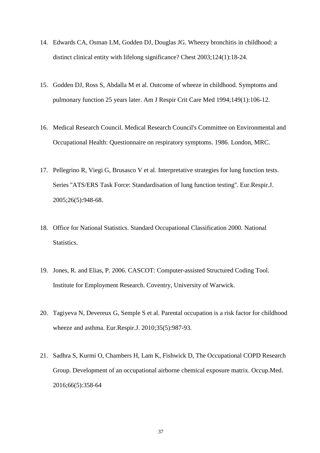- 14. Edwards CA, Osman LM, Godden DJ, Douglas JG. Wheezy bronchitis in childhood: a distinct clinical entity with lifelong significance? Chest 2003;124(1):18-24.
- 15. Godden DJ, Ross S, Abdalla M et al. Outcome of wheeze in childhood. Symptoms and pulmonary function 25 years later. Am J Respir Crit Care Med 1994;149(1):106-12.
- 16. Medical Research Council. Medical Research Council's Committee on Environmental and Occupational Health: Questionnaire on respiratory symptoms. 1986. London, MRC.
- 17. Pellegrino R, Viegi G, Brusasco V et al. Interpretative strategies for lung function tests. Series ''ATS/ERS Task Force: Standardisation of lung function testing''. Eur.Respir.J. 2005;26(5):948-68.
- 18. Office for National Statistics. Standard Occupational Classification 2000. National Statistics.
- 19. Jones, R. and Elias, P. 2006. CASCOT: Computer-assisted Structured Coding Tool. Institute for Employment Research. Coventry, University of Warwick.
- 20. Tagiyeva N, Devereux G, Semple S et al. Parental occupation is a risk factor for childhood wheeze and asthma. Eur.Respir.J. 2010;35(5):987-93.
- 21. Sadhra S, Kurmi O, Chambers H, Lam K, Fishwick D, The Occupational COPD Research Group. Development of an occupational airborne chemical exposure matrix. Occup.Med. 2016;66(5):358-64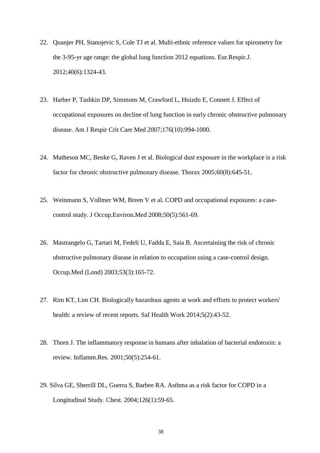- 22. Quanjer PH, Stanojevic S, Cole TJ et al. Multi-ethnic reference values for spirometry for the 3-95-yr age range: the global lung function 2012 equations. Eur.Respir.J. 2012;40(6):1324-43.
- 23. Harber P, Tashkin DP, Simmons M, Crawford L, Hnizdo E, Connett J. Effect of occupational exposures on decline of lung function in early chronic obstructive pulmonary disease. Am J Respir Crit Care Med 2007;176(10):994-1000.
- 24. Matheson MC, Benke G, Raven J et al. Biological dust exposure in the workplace is a risk factor for chronic obstructive pulmonary disease. Thorax 2005;60(8):645-51.
- 25. Weinmann S, Vollmer WM, Breen V et al. COPD and occupational exposures: a casecontrol study. J Occup.Environ.Med 2008;50(5):561-69.
- 26. Mastrangelo G, Tartari M, Fedeli U, Fadda E, Saia B. Ascertaining the risk of chronic obstructive pulmonary disease in relation to occupation using a case-control design. Occup.Med (Lond) 2003;53(3):165-72.
- 27. Rim KT, Lim CH. Biologically hazardous agents at work and efforts to protect workers' health: a review of recent reports. Saf Health Work 2014;5(2):43-52.
- 28. Thorn J. The inflammatory response in humans after inhalation of bacterial endotoxin: a review. Inflamm.Res. 2001;50(5):254-61.
- 29. Silva GE, Sherrill DL, Guerra S, Barbee RA. Asthma as a risk factor for COPD in a Longitudinal Study. Chest. 2004;126(1):59-65.